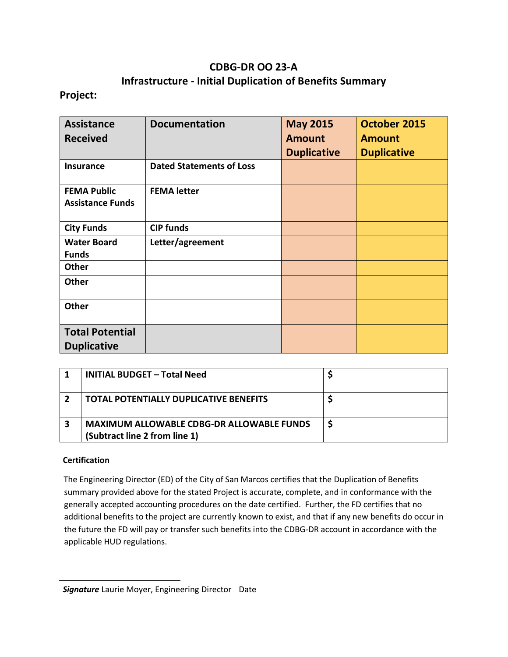# **CDBG-DR OO 23-A Infrastructure - Initial Duplication of Benefits Summary**

### **Project:**

| <b>Assistance</b><br><b>Received</b> | <b>Documentation</b>            | <b>May 2015</b><br><b>Amount</b> | <b>October 2015</b><br><b>Amount</b> |
|--------------------------------------|---------------------------------|----------------------------------|--------------------------------------|
|                                      |                                 | <b>Duplicative</b>               | <b>Duplicative</b>                   |
| Insurance                            | <b>Dated Statements of Loss</b> |                                  |                                      |
| <b>FEMA Public</b>                   | <b>FEMA letter</b>              |                                  |                                      |
| <b>Assistance Funds</b>              |                                 |                                  |                                      |
| <b>City Funds</b>                    | <b>CIP funds</b>                |                                  |                                      |
| <b>Water Board</b>                   | Letter/agreement                |                                  |                                      |
| <b>Funds</b>                         |                                 |                                  |                                      |
| Other                                |                                 |                                  |                                      |
| <b>Other</b>                         |                                 |                                  |                                      |
| <b>Other</b>                         |                                 |                                  |                                      |
| <b>Total Potential</b>               |                                 |                                  |                                      |
| <b>Duplicative</b>                   |                                 |                                  |                                      |

|                  | <b>INITIAL BUDGET - Total Need</b>                                                |  |
|------------------|-----------------------------------------------------------------------------------|--|
| $\boldsymbol{z}$ | <b>TOTAL POTENTIALLY DUPLICATIVE BENEFITS</b>                                     |  |
| 3                | <b>MAXIMUM ALLOWABLE CDBG-DR ALLOWABLE FUNDS</b><br>(Subtract line 2 from line 1) |  |

### **Certification**

The Engineering Director (ED) of the City of San Marcos certifies that the Duplication of Benefits summary provided above for the stated Project is accurate, complete, and in conformance with the generally accepted accounting procedures on the date certified. Further, the FD certifies that no additional benefits to the project are currently known to exist, and that if any new benefits do occur in the future the FD will pay or transfer such benefits into the CDBG-DR account in accordance with the applicable HUD regulations.

*Signature* Laurie Moyer, Engineering Director Date